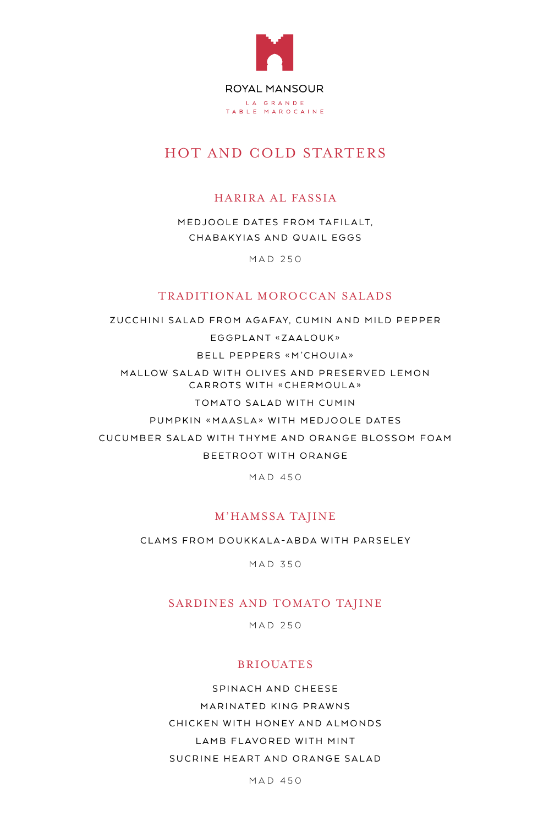

# HOT AND COLD STARTERS

## HARIRA AL FASSIA

MEDJOOLE DATES FROM TAFILALT, CHABAKYIAS AND QUAIL EGGS

MAD 250

#### TRADITIONAL MOROCCAN SALADS

ZUCCHINI SALAD FROM AGAFAY, CUMIN AND MILD PEPPER EGGPLANT «ZAALOUK» BELL PEPPERS «M'CHOUIA» MALLOW SALAD WITH OLIVES AND PRESERVED LEMON CARROTS WITH «CHERMOULA» TOMATO SALAD WITH CUMIN PUMPKIN «MAASLA» WITH MEDJOOLE DATES CUCUMBER SALAD WITH THYME AND ORANGE BLOSSOM FOAM BEETROOT WITH ORANGE

**MAD 450** 

#### M'HAMSSA TAJINE

CLAMS FROM DOUKKALA-ABDA WITH PARSELEY

MAD 350

#### SARDINES AND TOMATO TAJINE

**MAD 250** 

#### BRIOUATES

SPINACH AND CHEESE MARINATED KING PRAWNS CHICKEN WITH HONEY AND ALMONDS LAMB FLAVORED WITH MINT SUCRINE HEART AND ORANGE SALAD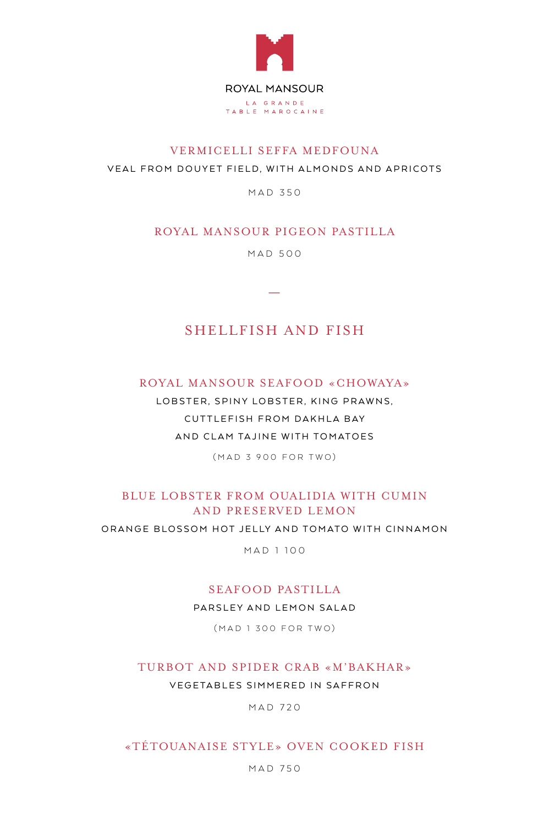

## VERMICELLI SEFFA MEDFOUNA VEAL FROM DOUYET FIELD, WITH ALMONDS AND APRICOTS

**MAD 350** 

## ROYAL MANSOUR PIGEON PASTILLA

500 MAD

—

## SHELLFISH AND FISH

#### ROYAL MANSOUR SEAFOOD «CHOWAYA»

LOBSTER, SPINY LOBSTER, KING PRAWNS, CUTTLEFISH FROM DAKHLA BAY AND CLAM TAJINE WITH TOMATOES

(MAD 3 900 FOR TWO)

## BLUE LOBSTER FROM OUALIDIA WITH CUMIN AND PRESERVED LEMON

ORANGE BLOSSOM HOT JELLY AND TOMATO WITH CINNAMON

MAD 1 100

#### SEAFOOD PASTILLA

PARSLEY AND LEMON SALAD

(MAD 1 300 FOR TWO)

#### TURBOT AND SPIDER CRAB «M'BAKHAR»

VEGETABLES SIMMERED IN SAFFRON

MAD 720

#### «TÉTOUANAISE STYLE» OVEN COOKED FISH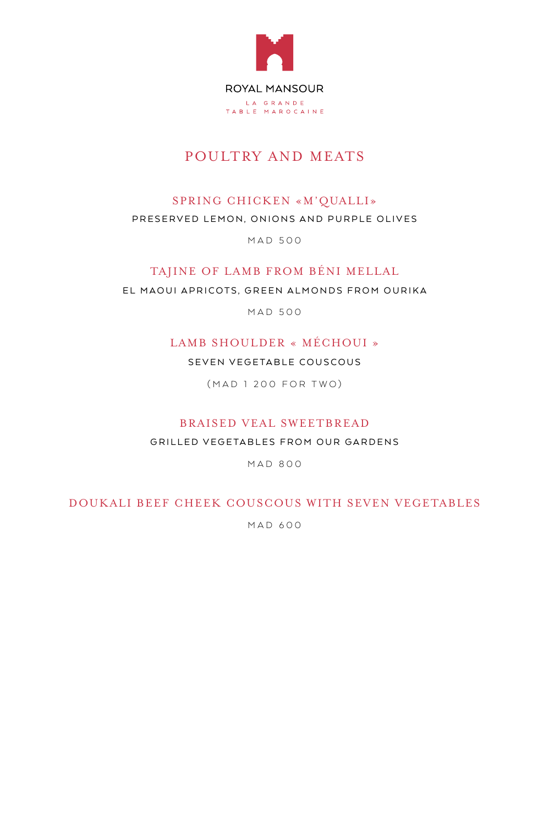

# POULTRY AND MEATS

## SPRING CHICKEN «M'QUALLI»

#### PRESERVED LEMON, ONIONS AND PURPLE OLIVES

MAD 500

#### TAJINE OF LAMB FROM BÉNI MELLAL

EL MAOUI APRICOTS, GREEN ALMONDS FROM OURIKA

500 MAD

## LAMB SHOULDER « MÉCHOUI »

SEVEN VEGETABLE COUSCOUS

(MAD 1 200 FOR TWO)

## BRAISED VEAL SWEETBREAD

GRILLED VEGETABLES FROM OUR GARDENS

**MAD 800** 

#### DOUKALI BEEF CHEEK COUSCOUS WITH SEVEN VEGETABLES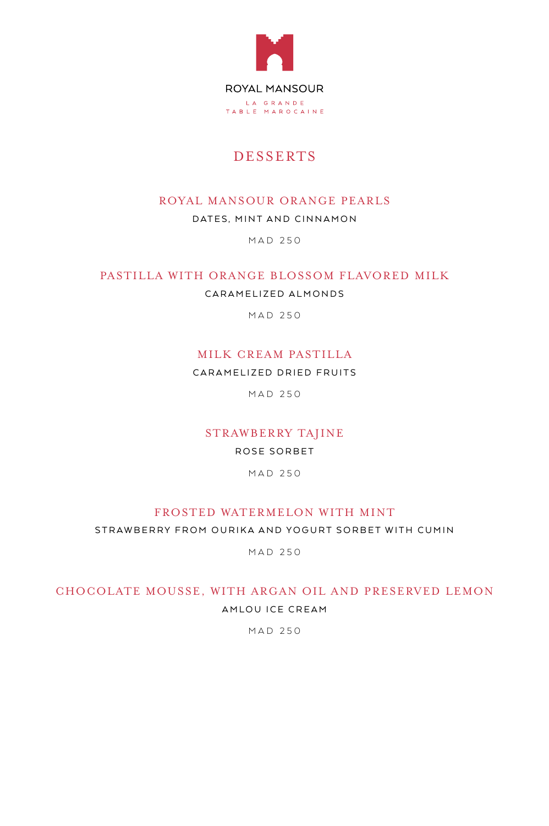

# DESSERTS

## ROYAL MANSOUR ORANGE PEARLS

DATES, MINT AND CINNAMON

MAD 250

## PASTILLA WITH ORANGE BLOSSOM FLAVORED MILK

CARAMELIZED ALMONDS

MAD 250

## MILK CREAM PASTILLA

CARAMELIZED DRIED FRUITS

MAD 250

## STRAWBERRY TAJINE

ROSE SORBET

**MAD 250** 

#### FROSTED WATERMELON WITH MINT

STRAWBERRY FROM OURIKA AND YOGURT SORBET WITH CUMIN

**MAD 250** 

## CHOCOLATE MOUSSE, WITH ARGAN OIL AND PRESERVED LEMON AM LOU ICE CREAM